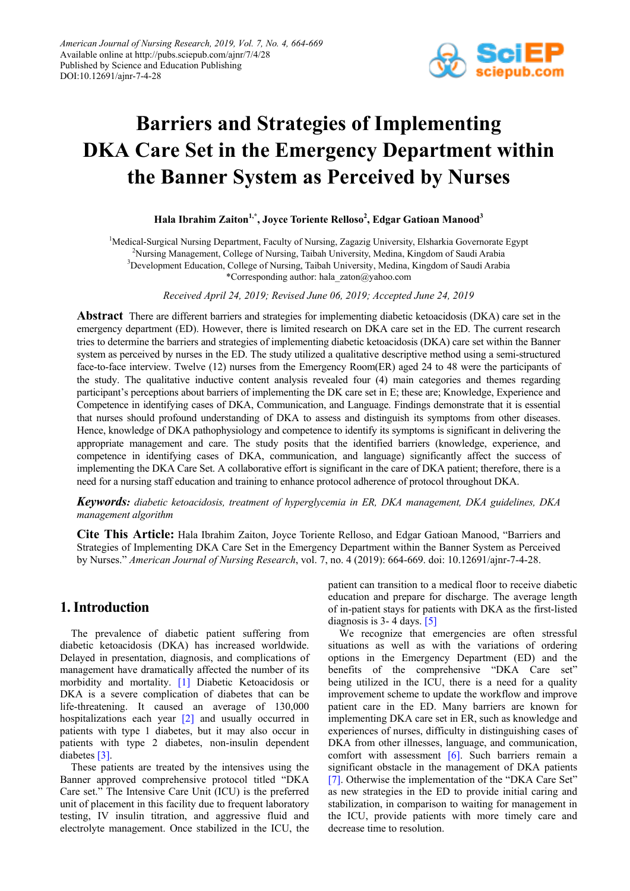

# **Barriers and Strategies of Implementing DKA Care Set in the Emergency Department within the Banner System as Perceived by Nurses**

**Hala Ibrahim Zaiton1,\* , Joyce Toriente Relloso<sup>2</sup> , Edgar Gatioan Manood<sup>3</sup>**

<sup>1</sup>Medical-Surgical Nursing Department, Faculty of Nursing, Zagazig University, Elsharkia Governorate Egypt 2 Nursing Management, College of Nursing, Taibah University, Medina, Kingdom of Saudi Arabia <sup>3</sup>Development Education, College of Nursing, Taibah University, Medina, Kingdom of Saudi Arabia \*Corresponding author: hala\_zaton@yahoo.com

*Received April 24, 2019; Revised June 06, 2019; Accepted June 24, 2019*

**Abstract** There are different barriers and strategies for implementing diabetic ketoacidosis (DKA) care set in the emergency department (ED). However, there is limited research on DKA care set in the ED. The current research tries to determine the barriers and strategies of implementing diabetic ketoacidosis (DKA) care set within the Banner system as perceived by nurses in the ED. The study utilized a qualitative descriptive method using a semi-structured face-to-face interview. Twelve (12) nurses from the Emergency Room(ER) aged 24 to 48 were the participants of the study. The qualitative inductive content analysis revealed four (4) main categories and themes regarding participant's perceptions about barriers of implementing the DK care set in E; these are; Knowledge, Experience and Competence in identifying cases of DKA, Communication, and Language. Findings demonstrate that it is essential that nurses should profound understanding of DKA to assess and distinguish its symptoms from other diseases. Hence, knowledge of DKA pathophysiology and competence to identify its symptoms is significant in delivering the appropriate management and care. The study posits that the identified barriers (knowledge, experience, and competence in identifying cases of DKA, communication, and language) significantly affect the success of implementing the DKA Care Set. A collaborative effort is significant in the care of DKA patient; therefore, there is a need for a nursing staff education and training to enhance protocol adherence of protocol throughout DKA.

*Keywords: diabetic ketoacidosis, treatment of hyperglycemia in ER, DKA management, DKA guidelines, DKA management algorithm*

**Cite This Article:** Hala Ibrahim Zaiton, Joyce Toriente Relloso, and Edgar Gatioan Manood, "Barriers and Strategies of Implementing DKA Care Set in the Emergency Department within the Banner System as Perceived by Nurses." *American Journal of Nursing Research*, vol. 7, no. 4 (2019): 664-669. doi: 10.12691/ajnr-7-4-28.

# **1. Introduction**

The prevalence of diabetic patient suffering from diabetic ketoacidosis (DKA) has increased worldwide. Delayed in presentation, diagnosis, and complications of management have dramatically affected the number of its morbidity and mortality. [\[1\]](#page-4-0) Diabetic Ketoacidosis or DKA is a severe complication of diabetes that can be life-threatening. It caused an average of 130,000 hospitalizations each year [\[2\]](#page-4-1) and usually occurred in patients with type 1 diabetes, but it may also occur in patients with type 2 diabetes, non-insulin dependent diabetes [\[3\].](#page-4-2)

These patients are treated by the intensives using the Banner approved comprehensive protocol titled "DKA Care set." The Intensive Care Unit (ICU) is the preferred unit of placement in this facility due to frequent laboratory testing, IV insulin titration, and aggressive fluid and electrolyte management. Once stabilized in the ICU, the patient can transition to a medical floor to receive diabetic education and prepare for discharge. The average length of in-patient stays for patients with DKA as the first-listed diagnosis is  $3-4$  days. [\[5\]](#page-4-3)

We recognize that emergencies are often stressful situations as well as with the variations of ordering options in the Emergency Department (ED) and the benefits of the comprehensive "DKA Care set" being utilized in the ICU, there is a need for a quality improvement scheme to update the workflow and improve patient care in the ED. Many barriers are known for implementing DKA care set in ER, such as knowledge and experiences of nurses, difficulty in distinguishing cases of DKA from other illnesses, language, and communication, comfort with assessment [\[6\].](#page-4-4) Such barriers remain a significant obstacle in the management of DKA patients [\[7\].](#page-4-5) Otherwise the implementation of the "DKA Care Set" as new strategies in the ED to provide initial caring and stabilization, in comparison to waiting for management in the ICU, provide patients with more timely care and decrease time to resolution.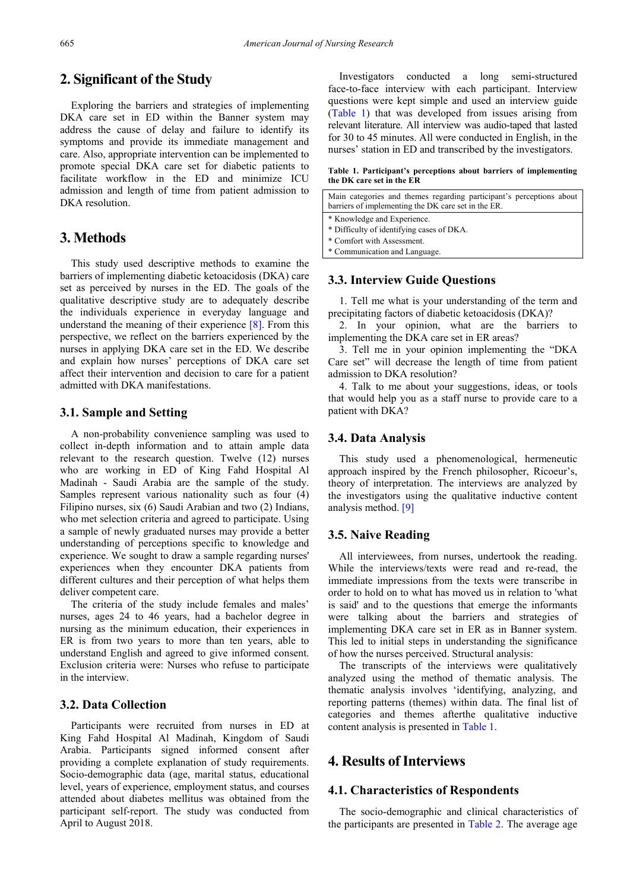# **2. Significant of the Study**

Exploring the barriers and strategies of implementing DKA care set in ED within the Banner system may address the cause of delay and failure to identify its symptoms and provide its immediate management and care. Also, appropriate intervention can be implemented to promote special DKA care set for diabetic patients to facilitate workflow in the ED and minimize ICU admission and length of time from patient admission to DKA resolution.

# **3. Methods**

This study used descriptive methods to examine the barriers of implementing diabetic ketoacidosis (DKA) care set as perceived by nurses in the ED. The goals of the qualitative descriptive study are to adequately describe the individuals experience in everyday language and understand the meaning of their experience [\[8\].](#page-4-6) From this perspective, we reflect on the barriers experienced by the nurses in applying DKA care set in the ED. We describe and explain how nurses' perceptions of DKA care set affect their intervention and decision to care for a patient admitted with DKA manifestations.

#### **3.1. Sample and Setting**

A non-probability convenience sampling was used to collect in-depth information and to attain ample data relevant to the research question. Twelve (12) nurses who are working in ED of King Fahd Hospital Al Madinah - Saudi Arabia are the sample of the study. Samples represent various nationality such as four (4) Filipino nurses, six (6) Saudi Arabian and two (2) Indians, who met selection criteria and agreed to participate. Using a sample of newly graduated nurses may provide a better understanding of perceptions specific to knowledge and experience. We sought to draw a sample regarding nurses' experiences when they encounter DKA patients from different cultures and their perception of what helps them deliver competent care.

The criteria of the study include females and males' nurses, ages 24 to 46 years, had a bachelor degree in nursing as the minimum education, their experiences in ER is from two years to more than ten years, able to understand English and agreed to give informed consent. Exclusion criteria were: Nurses who refuse to participate in the interview.

## **3.2. Data Collection**

Participants were recruited from nurses in ED at King Fahd Hospital Al Madinah, Kingdom of Saudi Arabia. Participants signed informed consent after providing a complete explanation of study requirements. Socio-demographic data (age, marital status, educational level, years of experience, employment status, and courses attended about diabetes mellitus was obtained from the participant self-report. The study was conducted from April to August 2018.

Investigators conducted a long semi-structured face-to-face interview with each participant. Interview questions were kept simple and used an interview guide [\(Table 1\)](#page-1-0) that was developed from issues arising from relevant literature. All interview was audio-taped that lasted for 30 to 45 minutes. All were conducted in English, in the nurses' station in ED and transcribed by the investigators.

#### **Table 1. Participant's perceptions about barriers of implementing the DK care set in the ER**

<span id="page-1-0"></span>Main categories and themes regarding participant's perceptions about barriers of implementing the DK care set in the ER. \* Knowledge and Experience. \* Difficulty of identifying cases of DKA. \* Comfort with Assessment.

\* Communication and Language.

### **3.3. Interview Guide Questions**

1. Tell me what is your understanding of the term and precipitating factors of diabetic ketoacidosis (DKA)?

2. In your opinion, what are the barriers to implementing the DKA care set in ER areas?

3. Tell me in your opinion implementing the "DKA Care set" will decrease the length of time from patient admission to DKA resolution?

4. Talk to me about your suggestions, ideas, or tools that would help you as a staff nurse to provide care to a patient with DKA?

#### **3.4. Data Analysis**

This study used a phenomenological, hermeneutic approach inspired by the French philosopher, Ricoeur's, theory of interpretation. The interviews are analyzed by the investigators using the qualitative inductive content analysis method. [\[9\]](#page-4-7)

#### **3.5. Naive Reading**

All interviewees, from nurses, undertook the reading. While the interviews/texts were read and re-read, the immediate impressions from the texts were transcribe in order to hold on to what has moved us in relation to 'what is said' and to the questions that emerge the informants were talking about the barriers and strategies of implementing DKA care set in ER as in Banner system. This led to initial steps in understanding the significance of how the nurses perceived. Structural analysis:

The transcripts of the interviews were qualitatively analyzed using the method of thematic analysis. The thematic analysis involves 'identifying, analyzing, and reporting patterns (themes) within data. The final list of categories and themes afterthe qualitative inductive content analysis is presented in [Table 1.](#page-1-0)

## **4. Results of Interviews**

#### **4.1. Characteristics of Respondents**

The socio-demographic and clinical characteristics of the participants are presented in [Table 2.](#page-2-0) The average age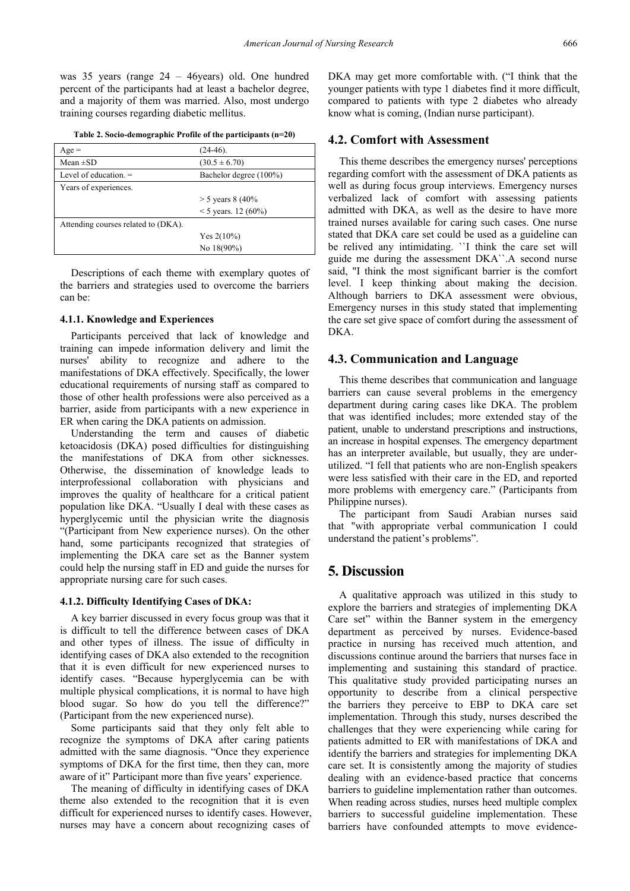was 35 years (range 24 – 46years) old. One hundred percent of the participants had at least a bachelor degree, and a majority of them was married. Also, most undergo training courses regarding diabetic mellitus.

| Table 2. Socio-demographic Profile of the participants (n=20) |  |  |  |
|---------------------------------------------------------------|--|--|--|
|---------------------------------------------------------------|--|--|--|

<span id="page-2-0"></span>

| $Age =$                             | $(24-46)$ .            |  |
|-------------------------------------|------------------------|--|
| Mean $\pm SD$                       | $(30.5 \pm 6.70)$      |  |
| Level of education. $=$             | Bachelor degree (100%) |  |
| Years of experiences.               |                        |  |
|                                     | $>$ 5 years 8 (40%     |  |
|                                     | $<$ 5 years. 12 (60%)  |  |
| Attending courses related to (DKA). |                        |  |
|                                     | Yes $2(10\%)$          |  |
|                                     | No $18(90\%)$          |  |

Descriptions of each theme with exemplary quotes of the barriers and strategies used to overcome the barriers can be:

#### **4.1.1. Knowledge and Experiences**

Participants perceived that lack of knowledge and training can impede information delivery and limit the nurses' ability to recognize and adhere to the manifestations of DKA effectively. Specifically, the lower educational requirements of nursing staff as compared to those of other health professions were also perceived as a barrier, aside from participants with a new experience in ER when caring the DKA patients on admission.

Understanding the term and causes of diabetic ketoacidosis (DKA) posed difficulties for distinguishing the manifestations of DKA from other sicknesses. Otherwise, the dissemination of knowledge leads to interprofessional collaboration with physicians and improves the quality of healthcare for a critical patient population like DKA. "Usually I deal with these cases as hyperglycemic until the physician write the diagnosis "(Participant from New experience nurses). On the other hand, some participants recognized that strategies of implementing the DKA care set as the Banner system could help the nursing staff in ED and guide the nurses for appropriate nursing care for such cases.

#### **4.1.2. Difficulty Identifying Cases of DKA:**

A key barrier discussed in every focus group was that it is difficult to tell the difference between cases of DKA and other types of illness. The issue of difficulty in identifying cases of DKA also extended to the recognition that it is even difficult for new experienced nurses to identify cases. "Because hyperglycemia can be with multiple physical complications, it is normal to have high blood sugar. So how do you tell the difference?" (Participant from the new experienced nurse).

Some participants said that they only felt able to recognize the symptoms of DKA after caring patients admitted with the same diagnosis. "Once they experience symptoms of DKA for the first time, then they can, more aware of it" Participant more than five years' experience.

The meaning of difficulty in identifying cases of DKA theme also extended to the recognition that it is even difficult for experienced nurses to identify cases. However, nurses may have a concern about recognizing cases of DKA may get more comfortable with. ("I think that the younger patients with type 1 diabetes find it more difficult, compared to patients with type 2 diabetes who already know what is coming, (Indian nurse participant).

#### **4.2. Comfort with Assessment**

This theme describes the emergency nurses' perceptions regarding comfort with the assessment of DKA patients as well as during focus group interviews. Emergency nurses verbalized lack of comfort with assessing patients admitted with DKA, as well as the desire to have more trained nurses available for caring such cases. One nurse stated that DKA care set could be used as a guideline can be relived any intimidating. ``I think the care set will guide me during the assessment DKA``.A second nurse said, "I think the most significant barrier is the comfort level. I keep thinking about making the decision. Although barriers to DKA assessment were obvious, Emergency nurses in this study stated that implementing the care set give space of comfort during the assessment of DKA.

#### **4.3. Communication and Language**

This theme describes that communication and language barriers can cause several problems in the emergency department during caring cases like DKA. The problem that was identified includes; more extended stay of the patient, unable to understand prescriptions and instructions, an increase in hospital expenses. The emergency department has an interpreter available, but usually, they are underutilized. "I fell that patients who are non-English speakers were less satisfied with their care in the ED, and reported more problems with emergency care." (Participants from Philippine nurses).

The participant from Saudi Arabian nurses said that "with appropriate verbal communication I could understand the patient's problems".

## **5. Discussion**

A qualitative approach was utilized in this study to explore the barriers and strategies of implementing DKA Care set" within the Banner system in the emergency department as perceived by nurses. Evidence-based practice in nursing has received much attention, and discussions continue around the barriers that nurses face in implementing and sustaining this standard of practice. This qualitative study provided participating nurses an opportunity to describe from a clinical perspective the barriers they perceive to EBP to DKA care set implementation. Through this study, nurses described the challenges that they were experiencing while caring for patients admitted to ER with manifestations of DKA and identify the barriers and strategies for implementing DKA care set. It is consistently among the majority of studies dealing with an evidence-based practice that concerns barriers to guideline implementation rather than outcomes. When reading across studies, nurses heed multiple complex barriers to successful guideline implementation. These barriers have confounded attempts to move evidence-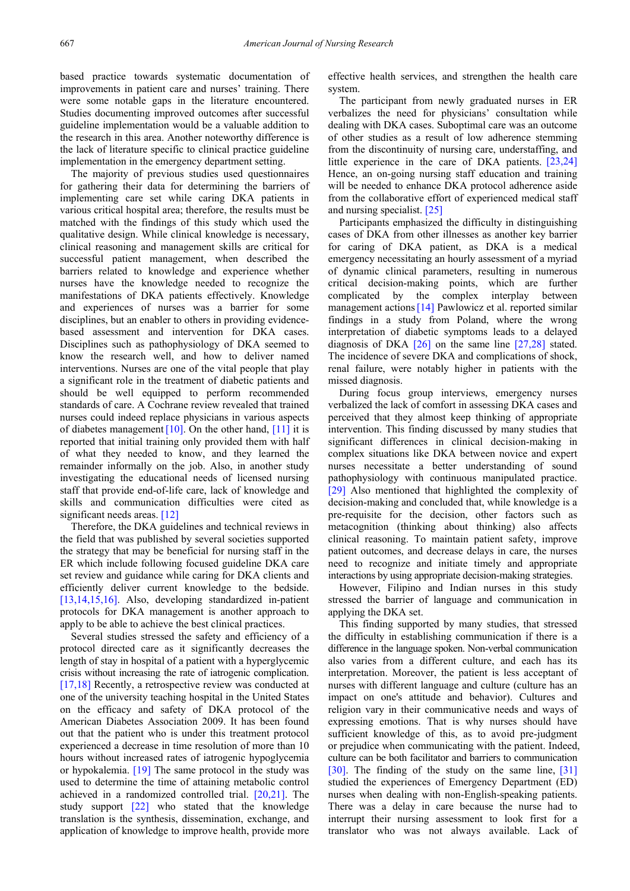based practice towards systematic documentation of improvements in patient care and nurses' training. There were some notable gaps in the literature encountered. Studies documenting improved outcomes after successful guideline implementation would be a valuable addition to the research in this area. Another noteworthy difference is the lack of literature specific to clinical practice guideline implementation in the emergency department setting.

The majority of previous studies used questionnaires for gathering their data for determining the barriers of implementing care set while caring DKA patients in various critical hospital area; therefore, the results must be matched with the findings of this study which used the qualitative design. While clinical knowledge is necessary, clinical reasoning and management skills are critical for successful patient management, when described the barriers related to knowledge and experience whether nurses have the knowledge needed to recognize the manifestations of DKA patients effectively. Knowledge and experiences of nurses was a barrier for some disciplines, but an enabler to others in providing evidencebased assessment and intervention for DKA cases. Disciplines such as pathophysiology of DKA seemed to know the research well, and how to deliver named interventions. Nurses are one of the vital people that play a significant role in the treatment of diabetic patients and should be well equipped to perform recommended standards of care. A Cochrane review revealed that trained nurses could indeed replace physicians in various aspects of diabetes management [10]. On the other hand, [\[11\]](#page-4-9) it is reported that initial training only provided them with half of what they needed to know, and they learned the remainder informally on the job. Also, in another study investigating the educational needs of licensed nursing staff that provide end-of-life care, lack of knowledge and skills and communication difficulties were cited as significant needs areas. [\[12\]](#page-4-10)

Therefore, the DKA guidelines and technical reviews in the field that was published by several societies supported the strategy that may be beneficial for nursing staff in the ER which include following focused guideline DKA care set review and guidance while caring for DKA clients and efficiently deliver current knowledge to the bedside. [\[13,14,15,16\].](#page-4-11) Also, developing standardized in-patient protocols for DKA management is another approach to apply to be able to achieve the best clinical practices.

Several studies stressed the safety and efficiency of a protocol directed care as it significantly decreases the length of stay in hospital of a patient with a hyperglycemic crisis without increasing the rate of iatrogenic complication. [\[17,18\]](#page-4-12) Recently, a retrospective review was conducted at one of the university teaching hospital in the United States on the efficacy and safety of DKA protocol of the American Diabetes Association 2009. It has been found out that the patient who is under this treatment protocol experienced a decrease in time resolution of more than 10 hours without increased rates of iatrogenic hypoglycemia or hypokalemia. [\[19\]](#page-4-13) The same protocol in the study was used to determine the time of attaining metabolic control achieved in a randomized controlled trial. [\[20,21\].](#page-4-14) The study support [\[22\]](#page-4-15) who stated that the knowledge translation is the synthesis, dissemination, exchange, and application of knowledge to improve health, provide more

effective health services, and strengthen the health care system.

The participant from newly graduated nurses in ER verbalizes the need for physicians' consultation while dealing with DKA cases. Suboptimal care was an outcome of other studies as a result of low adherence stemming from the discontinuity of nursing care, understaffing, and little experience in the care of DKA patients. [\[23,24\]](#page-4-16) Hence, an on-going nursing staff education and training will be needed to enhance DKA protocol adherence aside from the collaborative effort of experienced medical staff and nursing specialist. [\[25\]](#page-4-17)

Participants emphasized the difficulty in distinguishing cases of DKA from other illnesses as another key barrier for caring of DKA patient, as DKA is a medical emergency necessitating an hourly assessment of a myriad of dynamic clinical parameters, resulting in numerous critical decision-making points, which are further complicated by the complex interplay between management actions [14] Pawlowicz et al. reported similar findings in a study from Poland, where the wrong interpretation of diabetic symptoms leads to a delayed diagnosis of DKA [\[26\]](#page-4-19) on the same line [\[27,28\]](#page-4-20) stated. The incidence of severe DKA and complications of shock, renal failure, were notably higher in patients with the missed diagnosis.

During focus group interviews, emergency nurses verbalized the lack of comfort in assessing DKA cases and perceived that they almost keep thinking of appropriate intervention. This finding discussed by many studies that significant differences in clinical decision-making in complex situations like DKA between novice and expert nurses necessitate a better understanding of sound pathophysiology with continuous manipulated practice. [\[29\]](#page-5-0) Also mentioned that highlighted the complexity of decision-making and concluded that, while knowledge is a pre-requisite for the decision, other factors such as metacognition (thinking about thinking) also affects clinical reasoning. To maintain patient safety, improve patient outcomes, and decrease delays in care, the nurses need to recognize and initiate timely and appropriate interactions by using appropriate decision-making strategies.

However, Filipino and Indian nurses in this study stressed the barrier of language and communication in applying the DKA set.

This finding supported by many studies, that stressed the difficulty in establishing communication if there is a difference in the language spoken. Non-verbal communication also varies from a different culture, and each has its interpretation. Moreover, the patient is less acceptant of nurses with different language and culture (culture has an impact on one's attitude and behavior). Cultures and religion vary in their communicative needs and ways of expressing emotions. That is why nurses should have sufficient knowledge of this, as to avoid pre-judgment or prejudice when communicating with the patient. Indeed, culture can be both facilitator and barriers to communication [\[30\].](#page-5-1) The finding of the study on the same line, [\[31\]](#page-5-2) studied the experiences of Emergency Department (ED) nurses when dealing with non-English-speaking patients. There was a delay in care because the nurse had to interrupt their nursing assessment to look first for a translator who was not always available. Lack of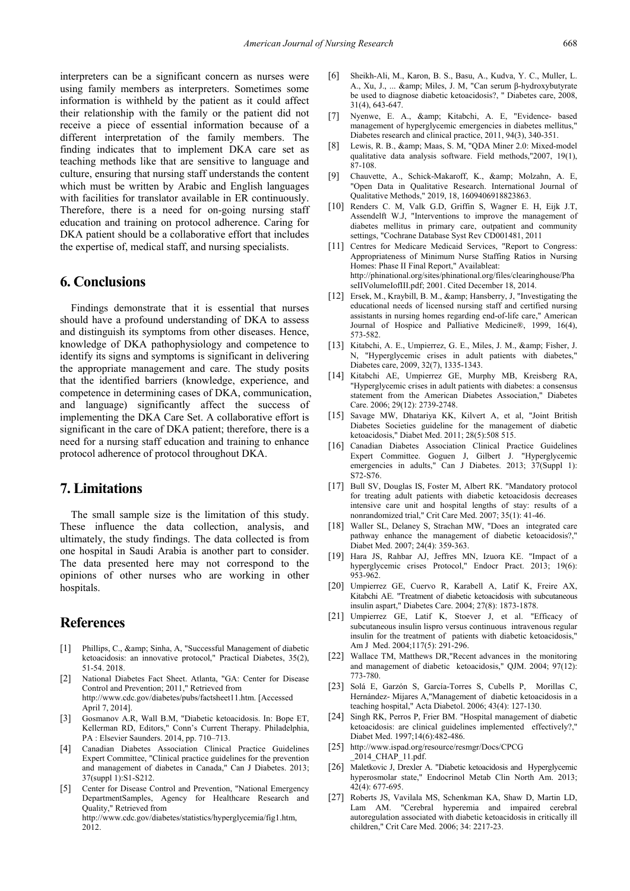interpreters can be a significant concern as nurses were using family members as interpreters. Sometimes some information is withheld by the patient as it could affect their relationship with the family or the patient did not receive a piece of essential information because of a different interpretation of the family members. The finding indicates that to implement DKA care set as teaching methods like that are sensitive to language and culture, ensuring that nursing staff understands the content which must be written by Arabic and English languages with facilities for translator available in ER continuously. Therefore, there is a need for on-going nursing staff education and training on protocol adherence. Caring for DKA patient should be a collaborative effort that includes the expertise of, medical staff, and nursing specialists.

## **6. Conclusions**

Findings demonstrate that it is essential that nurses should have a profound understanding of DKA to assess and distinguish its symptoms from other diseases. Hence, knowledge of DKA pathophysiology and competence to identify its signs and symptoms is significant in delivering the appropriate management and care. The study posits that the identified barriers (knowledge, experience, and competence in determining cases of DKA, communication, and language) significantly affect the success of implementing the DKA Care Set. A collaborative effort is significant in the care of DKA patient; therefore, there is a need for a nursing staff education and training to enhance protocol adherence of protocol throughout DKA.

## **7. Limitations**

The small sample size is the limitation of this study. These influence the data collection, analysis, and ultimately, the study findings. The data collected is from one hospital in Saudi Arabia is another part to consider. The data presented here may not correspond to the opinions of other nurses who are working in other hospitals.

## **References**

- <span id="page-4-0"></span>[1] Phillips, C., & amp; Sinha, A, "Successful Management of diabetic ketoacidosis: an innovative protocol," Practical Diabetes, 35(2), 51-54. 2018.
- <span id="page-4-1"></span>[2] National Diabetes Fact Sheet. Atlanta, "GA: Center for Disease Control and Prevention; 2011," Retrieved from http://www.cdc.gov/diabetes/pubs/factsheet11.htm. [Accessed April 7, 2014].
- <span id="page-4-2"></span>[3] Gosmanov A.R, Wall B.M, "Diabetic ketoacidosis. In: Bope ET, Kellerman RD, Editors," Conn's Current Therapy. Philadelphia, PA : Elsevier Saunders. 2014, pp. 710–713.
- [4] Canadian Diabetes Association Clinical Practice Guidelines Expert Committee, "Clinical practice guidelines for the prevention and management of diabetes in Canada," Can J Diabetes. 2013; 37(suppl 1):S1-S212.
- <span id="page-4-3"></span>[5] Center for Disease Control and Prevention, "National Emergency DepartmentSamples, Agency for Healthcare Research and Quality," Retrieved from http://www.cdc.gov/diabetes/statistics/hyperglycemia/fig1.htm, 2012.
- <span id="page-4-4"></span>[6] Sheikh-Ali, M., Karon, B. S., Basu, A., Kudva, Y. C., Muller, L. A., Xu, J., ... & amp; Miles, J. M, "Can serum β-hydroxybutyrate be used to diagnose diabetic ketoacidosis?, " Diabetes care, 2008, 31(4), 643-647.
- <span id="page-4-5"></span>[7] Nyenwe, E. A., & amp; Kitabchi, A. E, "Evidence- based management of hyperglycemic emergencies in diabetes mellitus," Diabetes research and clinical practice, 2011, 94(3), 340-351.
- <span id="page-4-6"></span>[8] Lewis, R. B., & amp; Maas, S. M, "QDA Miner 2.0: Mixed-model qualitative data analysis software. Field methods,"2007, 19(1), 87-108.
- <span id="page-4-7"></span>[9] Chauvette, A., Schick-Makaroff, K., & amp; Molzahn, A. E, "Open Data in Qualitative Research. International Journal of Qualitative Methods," 2019, 18, 1609406918823863.
- <span id="page-4-8"></span>[10] Renders C. M, Valk G.D, Griffin S, Wagner E. H, Eijk J.T, Assendelft W.J, "Interventions to improve the management of diabetes mellitus in primary care, outpatient and community settings, "Cochrane Database Syst Rev CD001481, 2011
- <span id="page-4-9"></span>[11] Centres for Medicare Medicaid Services, "Report to Congress: Appropriateness of Minimum Nurse Staffing Ratios in Nursing Homes: Phase II Final Report," Availableat: http://phinational.org/sites/phinational.org/files/clearinghouse/Pha seIIVolumeIofIII.pdf: 2001. Cited December 18, 2014.
- <span id="page-4-10"></span>[12] Ersek, M., Kraybill, B. M., & amp; Hansberry, J, "Investigating the educational needs of licensed nursing staff and certified nursing assistants in nursing homes regarding end-of-life care," American Journal of Hospice and Palliative Medicine®, 1999, 16(4), 573-582.
- <span id="page-4-11"></span>[13] Kitabchi, A. E., Umpierrez, G. E., Miles, J. M., & amp; Fisher, J. N, "Hyperglycemic crises in adult patients with diabetes," Diabetes care, 2009, 32(7), 1335-1343.
- <span id="page-4-18"></span>[14] Kitabchi AE, Umpierrez GE, Murphy MB, Kreisberg RA, "Hyperglycemic crises in adult patients with diabetes: a consensus statement from the American Diabetes Association," Diabetes Care. 2006; 29(12): 2739-2748.
- [15] Savage MW, Dhatariya KK, Kilvert A, et al, "Joint British Diabetes Societies guideline for the management of diabetic ketoacidosis," Diabet Med. 2011; 28(5):508 515.
- [16] Canadian Diabetes Association Clinical Practice Guidelines Expert Committee. Goguen J, Gilbert J. "Hyperglycemic emergencies in adults," Can J Diabetes. 2013; 37(Suppl 1): S72-S76.
- <span id="page-4-12"></span>[17] Bull SV, Douglas IS, Foster M, Albert RK. "Mandatory protocol for treating adult patients with diabetic ketoacidosis decreases intensive care unit and hospital lengths of stay: results of a nonrandomized trial," Crit Care Med. 2007; 35(1): 41-46.
- [18] Waller SL, Delaney S, Strachan MW, "Does an integrated care pathway enhance the management of diabetic ketoacidosis?," Diabet Med. 2007; 24(4): 359-363.
- <span id="page-4-13"></span>[19] Hara JS, Rahbar AJ, Jeffres MN, Izuora KE. "Impact of a hyperglycemic crises Protocol," Endocr Pract. 2013; 19(6): 953-962.
- <span id="page-4-14"></span>[20] Umpierrez GE, Cuervo R, Karabell A, Latif K, Freire AX, Kitabchi AE. "Treatment of diabetic ketoacidosis with subcutaneous insulin aspart," Diabetes Care. 2004; 27(8): 1873-1878.
- [21] Umpierrez GE, Latif K, Stoever J, et al. "Efficacy of subcutaneous insulin lispro versus continuous intravenous regular insulin for the treatment of patients with diabetic ketoacidosis,' Am J Med. 2004;117(5): 291-296.
- <span id="page-4-15"></span>[22] Wallace TM, Matthews DR, "Recent advances in the monitoring and management of diabetic ketoacidosis," QJM. 2004; 97(12): 773-780.
- <span id="page-4-16"></span>[23] Solá E, Garzón S, García-Torres S, Cubells P, Morillas C, Hernández- Mijares A,"Management of diabetic ketoacidosis in a teaching hospital," Acta Diabetol. 2006; 43(4): 127-130.
- [24] Singh RK, Perros P, Frier BM. "Hospital management of diabetic ketoacidosis: are clinical guidelines implemented effectively?," Diabet Med. 1997;14(6):482-486.
- <span id="page-4-17"></span>[25] http://www.ispad.org/resource/resmgr/Docs/CPCG \_2014\_CHAP\_11.pdf.
- <span id="page-4-19"></span>[26] Maletkovic J, Drexler A. "Diabetic ketoacidosis and Hyperglycemic hyperosmolar state," Endocrinol Metab Clin North Am. 2013; 42(4): 677-695.
- <span id="page-4-20"></span>[27] Roberts JS, Vavilala MS, Schenkman KA, Shaw D, Martin LD, Lam AM. "Cerebral hyperemia and impaired cerebral autoregulation associated with diabetic ketoacidosis in critically ill children," Crit Care Med. 2006; 34: 2217-23.